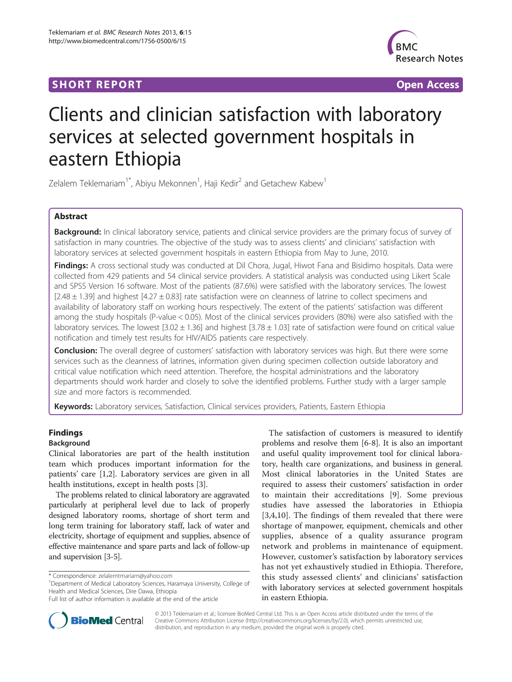# **SHORT REPORT SHORT** *CONTRESS <b>CONTRESS*



# Clients and clinician satisfaction with laboratory services at selected government hospitals in eastern Ethiopia

Zelalem Teklemariam $^{\text{1*}}$ , Abiyu Mekonnen $^{\text{1}}$ , Haji Kedir $^{\text{2}}$  and Getachew Kabew $^{\text{1}}$ 

# Abstract

Background: In clinical laboratory service, patients and clinical service providers are the primary focus of survey of satisfaction in many countries. The objective of the study was to assess clients' and clinicians' satisfaction with laboratory services at selected government hospitals in eastern Ethiopia from May to June, 2010.

Findings: A cross sectional study was conducted at Dil Chora, Jugal, Hiwot Fana and Bisidimo hospitals. Data were collected from 429 patients and 54 clinical service providers. A statistical analysis was conducted using Likert Scale and SPSS Version 16 software. Most of the patients (87.6%) were satisfied with the laboratory services. The lowest  $[2.48 \pm 1.39]$  and highest  $[4.27 \pm 0.83]$  rate satisfaction were on cleanness of latrine to collect specimens and availability of laboratory staff on working hours respectively. The extent of the patients' satisfaction was different among the study hospitals (P-value < 0.05). Most of the clinical services providers (80%) were also satisfied with the laboratory services. The lowest  $[3.02 \pm 1.36]$  and highest  $[3.78 \pm 1.03]$  rate of satisfaction were found on critical value notification and timely test results for HIV/AIDS patients care respectively.

**Conclusion:** The overall degree of customers' satisfaction with laboratory services was high. But there were some services such as the cleanness of latrines, information given during specimen collection outside laboratory and critical value notification which need attention. Therefore, the hospital administrations and the laboratory departments should work harder and closely to solve the identified problems. Further study with a larger sample size and more factors is recommended.

Keywords: Laboratory services, Satisfaction, Clinical services providers, Patients, Eastern Ethiopia

## Findings

## Background

Clinical laboratories are part of the health institution team which produces important information for the patients' care [[1,2\]](#page-6-0). Laboratory services are given in all health institutions, except in health posts [[3\]](#page-6-0).

The problems related to clinical laboratory are aggravated particularly at peripheral level due to lack of properly designed laboratory rooms, shortage of short term and long term training for laboratory staff, lack of water and electricity, shortage of equipment and supplies, absence of effective maintenance and spare parts and lack of follow-up and supervision [\[3-5\]](#page-6-0).

<sup>1</sup>Department of Medical Laboratory Sciences, Haramaya University, College of Health and Medical Sciences, Dire Dawa, Ethiopia

The satisfaction of customers is measured to identify problems and resolve them [[6-8](#page-6-0)]. It is also an important and useful quality improvement tool for clinical laboratory, health care organizations, and business in general. Most clinical laboratories in the United States are required to assess their customers' satisfaction in order to maintain their accreditations [[9\]](#page-6-0). Some previous studies have assessed the laboratories in Ethiopia [[3,4,10](#page-6-0)]. The findings of them revealed that there were shortage of manpower, equipment, chemicals and other supplies, absence of a quality assurance program network and problems in maintenance of equipment. However, customer's satisfaction by laboratory services has not yet exhaustively studied in Ethiopia. Therefore, this study assessed clients' and clinicians' satisfaction with laboratory services at selected government hospitals in eastern Ethiopia.



© 2013 Teklemariam et al.; licensee BioMed Central Ltd. This is an Open Access article distributed under the terms of the Creative Commons Attribution License (<http://creativecommons.org/licenses/by/2.0>), which permits unrestricted use, distribution, and reproduction in any medium, provided the original work is properly cited.

<sup>\*</sup> Correspondence: [zelalemtmariam@yahoo.com](mailto:zelalemtmariam@yahoo.com) <sup>1</sup>

Full list of author information is available at the end of the article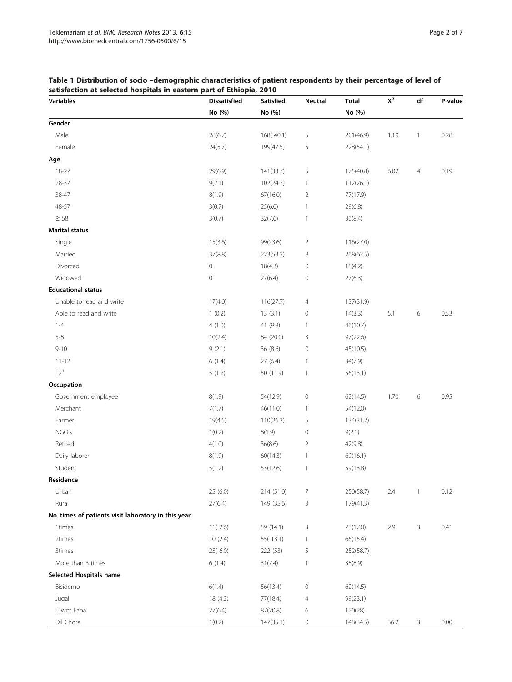| <b>Variables</b>                                    | <b>Dissatisfied</b> | Satisfied  | Neutral        | <b>Total</b> | $\mathsf{X}^2$ | df           | P-value |
|-----------------------------------------------------|---------------------|------------|----------------|--------------|----------------|--------------|---------|
|                                                     | No (%)              | No (%)     |                |              |                |              |         |
| Gender                                              |                     |            |                |              |                |              |         |
| Male                                                | 28(6.7)             | 168(40.1)  | 5              | 201(46.9)    | 1.19           | 1            | 0.28    |
| Female                                              | 24(5.7)             | 199(47.5)  | 5              | 228(54.1)    |                |              |         |
| Age                                                 |                     |            |                |              |                |              |         |
| 18-27                                               | 29(6.9)             | 141(33.7)  | 5              | 175(40.8)    | 6.02           | 4            | 0.19    |
| 28-37                                               | 9(2.1)              | 102(24.3)  | 1              | 112(26.1)    |                |              |         |
| 38-47                                               | 8(1.9)              | 67(16.0)   | 2              | 77(17.9)     |                |              |         |
| 48-57                                               | 3(0.7)              | 25(6.0)    | $\mathbf{1}$   | 29(6.8)      |                |              |         |
| $\geq 58$                                           | 3(0.7)              | 32(7.6)    | $\mathbf{1}$   | 36(8.4)      |                |              |         |
| <b>Marital status</b>                               |                     |            |                |              |                |              |         |
| Single                                              | 15(3.6)             | 99(23.6)   | $\overline{2}$ | 116(27.0)    |                |              |         |
| Married                                             | 37(8.8)             | 223(53.2)  | 8              | 268(62.5)    |                |              |         |
| Divorced                                            | 0                   | 18(4.3)    | $\mathbf 0$    | 18(4.2)      |                |              |         |
| Widowed                                             | 0                   | 27(6.4)    | $\circ$        | 27(6.3)      |                |              |         |
| <b>Educational status</b>                           |                     |            |                |              |                |              |         |
| Unable to read and write                            | 17(4.0)             | 116(27.7)  | 4              | 137(31.9)    |                |              |         |
| Able to read and write                              | 1(0.2)              | 13(3.1)    | $\mathbf 0$    | 14(3.3)      | 5.1            | 6            | 0.53    |
| $1 - 4$                                             | 4(1.0)              | 41 (9.8)   | 1              | 46(10.7)     |                |              |         |
| $5 - 8$                                             | 10(2.4)             | 84 (20.0)  | 3              | 97(22.6)     |                |              |         |
| $9 - 10$                                            | 9(2.1)              | 36 (8.6)   | $\mathbf 0$    | 45(10.5)     |                |              |         |
| $11 - 12$                                           | 6(1.4)              | 27 (6.4)   | 1              | 34(7.9)      |                |              |         |
| $12^{+}$                                            | 5(1.2)              | 50 (11.9)  | $\mathbf{1}$   | 56(13.1)     |                |              |         |
| Occupation                                          |                     |            |                |              |                |              |         |
| Government employee                                 | 8(1.9)              | 54(12.9)   | $\mathbf 0$    | 62(14.5)     | 1.70           | 6            | 0.95    |
| Merchant                                            | 7(1.7)              | 46(11.0)   | 1              | 54(12.0)     |                |              |         |
| Farmer                                              | 19(4.5)             | 110(26.3)  | 5              | 134(31.2)    |                |              |         |
| NGO's                                               | 1(0.2)              | 8(1.9)     | $\mathbf 0$    | 9(2.1)       |                |              |         |
| Retired                                             | 4(1.0)              | 36(8.6)    | 2              | 42(9.8)      |                |              |         |
| Daily laborer                                       | 8(1.9)              | 60(14.3)   | 1              | 69(16.1)     |                |              |         |
| Student                                             | 5(1.2)              | 53(12.6)   | $\mathbf{1}$   | 59(13.8)     |                |              |         |
| Residence                                           |                     |            |                |              |                |              |         |
| Urban                                               | 25 (6.0)            | 214 (51.0) | 7              | 250(58.7)    | 2.4            | $\mathbf{1}$ | 0.12    |
| Rural                                               | 27(6.4)             | 149 (35.6) | 3              | 179(41.3)    |                |              |         |
| No. times of patients visit laboratory in this year |                     |            |                |              |                |              |         |
| 1times                                              | 11(2.6)             | 59 (14.1)  | 3              | 73(17.0)     | 2.9            | 3            | 0.41    |
| 2times                                              | 10(2.4)             | 55(13.1)   | $\mathbf{1}$   | 66(15.4)     |                |              |         |
| 3times                                              | 25(6.0)             | 222 (53)   | 5              | 252(58.7)    |                |              |         |
| More than 3 times                                   | 6(1.4)              | 31(7.4)    | 1              | 38(8.9)      |                |              |         |
| Selected Hospitals name                             |                     |            |                |              |                |              |         |
| Bisidemo                                            | 6(1.4)              | 56(13.4)   | $\mathbf 0$    | 62(14.5)     |                |              |         |
| Jugal                                               | 18 (4.3)            | 77(18.4)   | 4              | 99(23.1)     |                |              |         |
| Hiwot Fana                                          | 27(6.4)             | 87(20.8)   | 6              | 120(28)      |                |              |         |
| Dil Chora                                           | 1(0.2)              | 147(35.1)  | 0              | 148(34.5)    | 36.2           | 3            | 0.00    |

## <span id="page-1-0"></span>Table 1 Distribution of socio –demographic characteristics of patient respondents by their percentage of level of satisfaction at selected hospitals in eastern part of Ethiopia, 2010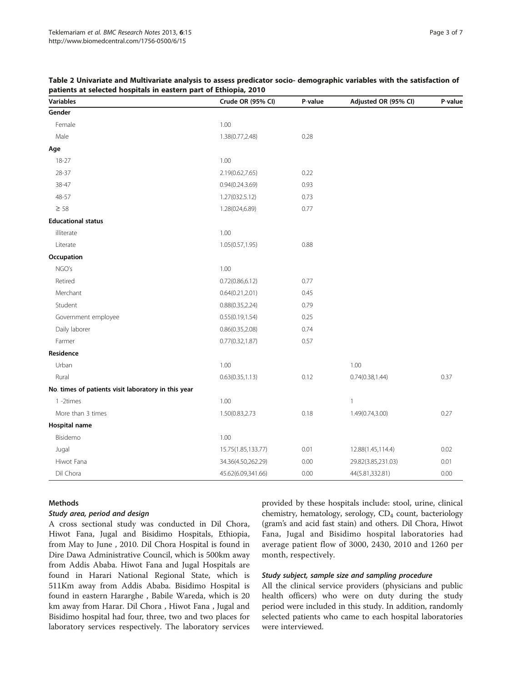<span id="page-2-0"></span>

| Table 2 Univariate and Multivariate analysis to assess predicator socio- demographic variables with the satisfaction of |  |
|-------------------------------------------------------------------------------------------------------------------------|--|
| patients at selected hospitals in eastern part of Ethiopia, 2010                                                        |  |

| <b>Variables</b>                                    | Crude OR (95% CI)  | P-value | Adjusted OR (95% CI) | P-value |
|-----------------------------------------------------|--------------------|---------|----------------------|---------|
| Gender                                              |                    |         |                      |         |
| Female                                              | 1.00               |         |                      |         |
| Male                                                | 1.38(0.77,2.48)    | 0.28    |                      |         |
| Age                                                 |                    |         |                      |         |
| $18 - 27$                                           | 1.00               |         |                      |         |
| 28-37                                               | 2.19(0.62,7.65)    | 0.22    |                      |         |
| 38-47                                               | 0.94(0.24.3.69)    | 0.93    |                      |         |
| 48-57                                               | 1.27(032.5.12)     | 0.73    |                      |         |
| $\geq$ 58                                           | 1.28(024,6.89)     | 0.77    |                      |         |
| <b>Educational status</b>                           |                    |         |                      |         |
| illiterate                                          | 1.00               |         |                      |         |
| Literate                                            | 1.05(0.57,1.95)    | 0.88    |                      |         |
| Occupation                                          |                    |         |                      |         |
| NGO's                                               | 1.00               |         |                      |         |
| Retired                                             | 0.72(0.86, 6.12)   | 0.77    |                      |         |
| Merchant                                            | 0.64(0.21, 2.01)   | 0.45    |                      |         |
| Student                                             | 0.88(0.35, 2.24)   | 0.79    |                      |         |
| Government employee                                 | 0.55(0.19, 1.54)   | 0.25    |                      |         |
| Daily laborer                                       | 0.86(0.35, 2.08)   | 0.74    |                      |         |
| Farmer                                              | 0.77(0.32, 1.87)   | 0.57    |                      |         |
| Residence                                           |                    |         |                      |         |
| Urban                                               | 1.00               |         | 1.00                 |         |
| Rural                                               | 0.63(0.35, 1.13)   | 0.12    | 0.74(0.38, 1.44)     | 0.37    |
| No. times of patients visit laboratory in this year |                    |         |                      |         |
| 1-2times                                            | 1.00               |         | $\mathbf{1}$         |         |
| More than 3 times                                   | 1.50(0.83,2.73     | 0.18    | 1.49(0.74,3.00)      | 0.27    |
| <b>Hospital name</b>                                |                    |         |                      |         |
| Bisidemo                                            | 1.00               |         |                      |         |
| Jugal                                               | 15.75(1.85,133.77) | 0.01    | 12.88(1.45,114.4)    | 0.02    |
| Hiwot Fana                                          | 34.36(4.50,262.29) | 0.00    | 29.82(3.85,231.03)   | 0.01    |
| Dil Chora                                           | 45.62(6.09,341.66) | 0.00    | 44(5.81,332.81)      | 0.00    |

## Methods

## Study area, period and design

A cross sectional study was conducted in Dil Chora, Hiwot Fana, Jugal and Bisidimo Hospitals, Ethiopia, from May to June , 2010. Dil Chora Hospital is found in Dire Dawa Administrative Council, which is 500km away from Addis Ababa. Hiwot Fana and Jugal Hospitals are found in Harari National Regional State, which is 511Km away from Addis Ababa. Bisidimo Hospital is found in eastern Hararghe , Babile Wareda, which is 20 km away from Harar. Dil Chora , Hiwot Fana , Jugal and Bisidimo hospital had four, three, two and two places for laboratory services respectively. The laboratory services

provided by these hospitals include: stool, urine, clinical chemistry, hematology, serology, CD<sub>4</sub> count, bacteriology (gram's and acid fast stain) and others. Dil Chora, Hiwot Fana, Jugal and Bisidimo hospital laboratories had average patient flow of 3000, 2430, 2010 and 1260 per month, respectively.

# Study subject, sample size and sampling procedure

All the clinical service providers (physicians and public health officers) who were on duty during the study period were included in this study. In addition, randomly selected patients who came to each hospital laboratories were interviewed.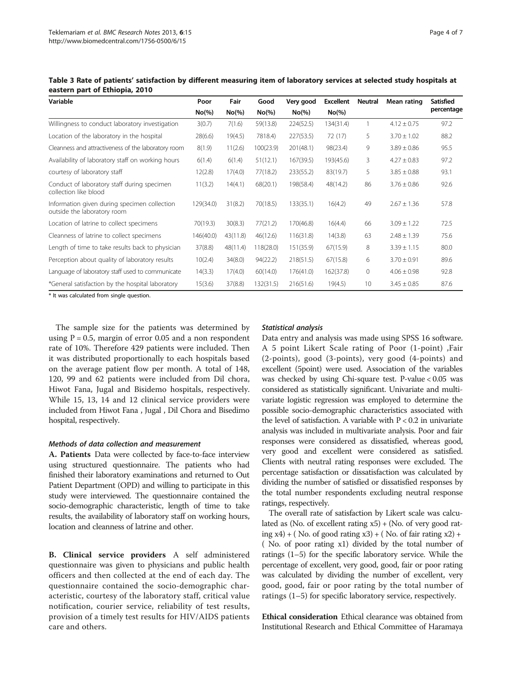| Variable                                                                    | Poor      | Fair      | Good      | Very good | <b>Excellent</b> | <b>Neutral</b> | Mean rating     | <b>Satisfied</b> |
|-----------------------------------------------------------------------------|-----------|-----------|-----------|-----------|------------------|----------------|-----------------|------------------|
|                                                                             | $No(\%)$  | $No(\% )$ | $No(\%)$  | $No(\% )$ | $No(\% )$        |                |                 | percentage       |
| Willingness to conduct laboratory investigation                             | 3(0.7)    | 7(1.6)    | 59(13.8)  | 224(52.5) | 134(31.4)        |                | $4.12 \pm 0.75$ | 97.2             |
| Location of the laboratory in the hospital                                  | 28(6.6)   | 19(4.5)   | 7818.4)   | 227(53.5) | 72 (17)          | 5              | $3.70 \pm 1.02$ | 88.2             |
| Cleanness and attractiveness of the laboratory room                         | 8(1.9)    | 11(2.6)   | 100(23.9) | 201(48.1) | 98(23.4)         | 9              | $3.89 \pm 0.86$ | 95.5             |
| Availability of laboratory staff on working hours                           | 6(1.4)    | 6(1.4)    | 51(12.1)  | 167(39.5) | 193(45.6)        | 3              | $4.27 \pm 0.83$ | 97.2             |
| courtesy of laboratory staff                                                | 12(2.8)   | 17(4.0)   | 77(18.2)  | 233(55.2) | 83(19.7)         | 5              | $3.85 \pm 0.88$ | 93.1             |
| Conduct of laboratory staff during specimen<br>collection like blood        | 11(3.2)   | 14(4.1)   | 68(20.1)  | 198(58.4) | 48(14.2)         | 86             | $3.76 \pm 0.86$ | 92.6             |
| Information given during specimen collection<br>outside the laboratory room | 129(34.0) | 31(8.2)   | 70(18.5)  | 133(35.1) | 16(4.2)          | 49             | $2.67 \pm 1.36$ | 57.8             |
| Location of latrine to collect specimens                                    | 70(19.3)  | 30(8.3)   | 77(21.2)  | 170(46.8) | 16(4.4)          | 66             | $3.09 \pm 1.22$ | 72.5             |
| Cleanness of latrine to collect specimens                                   | 146(40.0) | 43(11.8)  | 46(12.6)  | 116(31.8) | 14(3.8)          | 63             | $2.48 \pm 1.39$ | 75.6             |
| Length of time to take results back to physician                            | 37(8.8)   | 48(11.4)  | 118(28.0) | 151(35.9) | 67(15.9)         | 8              | $3.39 \pm 1.15$ | 80.0             |
| Perception about quality of laboratory results                              | 10(2.4)   | 34(8.0)   | 94(22.2)  | 218(51.5) | 67(15.8)         | 6              | $3.70 \pm 0.91$ | 89.6             |
| Language of laboratory staff used to communicate                            | 14(3.3)   | 17(4.0)   | 60(14.0)  | 176(41.0) | 162(37.8)        | $\mathbf{0}$   | $4.06 \pm 0.98$ | 92.8             |
| *General satisfaction by the hospital laboratory                            | 15(3.6)   | 37(8.8)   | 132(31.5) | 216(51.6) | 19(4.5)          | 10             | $3.45 \pm 0.85$ | 87.6             |

<span id="page-3-0"></span>Table 3 Rate of patients' satisfaction by different measuring item of laboratory services at selected study hospitals at eastern part of Ethiopia, 2010

\* It was calculated from single question.

The sample size for the patients was determined by using  $P = 0.5$ , margin of error 0.05 and a non respondent rate of 10%. Therefore 429 patients were included. Then it was distributed proportionally to each hospitals based on the average patient flow per month. A total of 148, 120, 99 and 62 patients were included from Dil chora, Hiwot Fana, Jugal and Bisidemo hospitals, respectively. While 15, 13, 14 and 12 clinical service providers were included from Hiwot Fana , Jugal , Dil Chora and Bisedimo hospital, respectively.

## Methods of data collection and measurement

A. Patients Data were collected by face-to-face interview using structured questionnaire. The patients who had finished their laboratory examinations and returned to Out Patient Department (OPD) and willing to participate in this study were interviewed. The questionnaire contained the socio-demographic characteristic, length of time to take results, the availability of laboratory staff on working hours, location and cleanness of latrine and other.

B. Clinical service providers A self administered questionnaire was given to physicians and public health officers and then collected at the end of each day. The questionnaire contained the socio-demographic characteristic, courtesy of the laboratory staff, critical value notification, courier service, reliability of test results, provision of a timely test results for HIV/AIDS patients care and others.

## Statistical analysis

Data entry and analysis was made using SPSS 16 software. A 5 point Likert Scale rating of Poor (1-point) ,Fair (2-points), good (3-points), very good (4-points) and excellent (5point) were used. Association of the variables was checked by using Chi-square test. P-value < 0.05 was considered as statistically significant. Univariate and multivariate logistic regression was employed to determine the possible socio-demographic characteristics associated with the level of satisfaction. A variable with  $P < 0.2$  in univariate analysis was included in multivariate analysis. Poor and fair responses were considered as dissatisfied, whereas good, very good and excellent were considered as satisfied. Clients with neutral rating responses were excluded. The percentage satisfaction or dissatisfaction was calculated by dividing the number of satisfied or dissatisfied responses by the total number respondents excluding neutral response ratings, respectively.

The overall rate of satisfaction by Likert scale was calculated as (No. of excellent rating  $x5$ ) + (No. of very good rating  $x4$ ) + (No. of good rating  $x3$ ) + (No. of fair rating  $x2$ ) + ( No. of poor rating x1) divided by the total number of ratings (1–5) for the specific laboratory service. While the percentage of excellent, very good, good, fair or poor rating was calculated by dividing the number of excellent, very good, good, fair or poor rating by the total number of ratings (1–5) for specific laboratory service, respectively.

Ethical consideration Ethical clearance was obtained from Institutional Research and Ethical Committee of Haramaya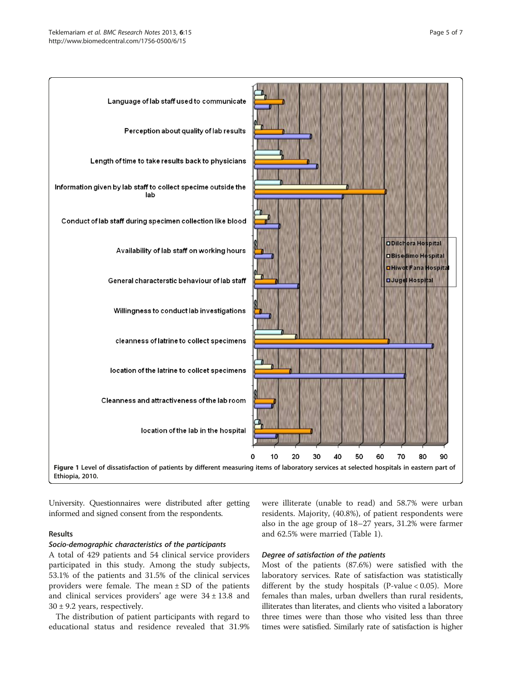<span id="page-4-0"></span>

University. Questionnaires were distributed after getting informed and signed consent from the respondents.

## Results

## Socio-demographic characteristics of the participants

A total of 429 patients and 54 clinical service providers participated in this study. Among the study subjects, 53.1% of the patients and 31.5% of the clinical services providers were female. The mean  $\pm$  SD of the patients and clinical services providers' age were  $34 \pm 13.8$  and  $30 \pm 9.2$  years, respectively.

The distribution of patient participants with regard to educational status and residence revealed that 31.9% were illiterate (unable to read) and 58.7% were urban residents. Majority, (40.8%), of patient respondents were also in the age group of 18–27 years, 31.2% were farmer and 62.5% were married (Table [1\)](#page-1-0).

# Degree of satisfaction of the patients

Most of the patients (87.6%) were satisfied with the laboratory services. Rate of satisfaction was statistically different by the study hospitals (P-value  $< 0.05$ ). More females than males, urban dwellers than rural residents, illiterates than literates, and clients who visited a laboratory three times were than those who visited less than three times were satisfied. Similarly rate of satisfaction is higher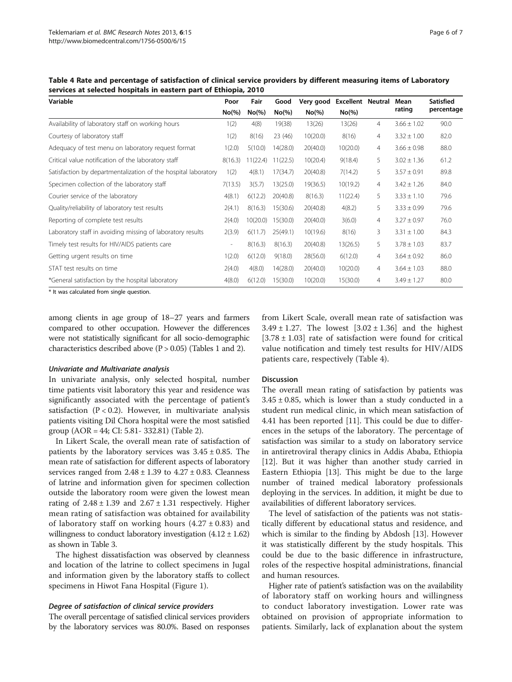Table 4 Rate and percentage of satisfaction of clinical service providers by different measuring items of Laboratory services at selected hospitals in eastern part of Ethiopia, 2010

| Variable                                                       |                              | Fair<br>Poor |           | Good<br>Very good |           | <b>Excellent Neutral</b> | Mean            | <b>Satisfied</b> |
|----------------------------------------------------------------|------------------------------|--------------|-----------|-------------------|-----------|--------------------------|-----------------|------------------|
|                                                                | $No(\% )$                    | $No(\%)$     | $No(\% )$ | $No(\% )$         | $No(\% )$ |                          | rating          | percentage       |
| Availability of laboratory staff on working hours              | 1(2)                         | 4(8)         | 19(38)    | 13(26)            | 13(26)    | $\overline{4}$           | $3.66 \pm 1.02$ | 90.0             |
| Courtesy of laboratory staff                                   | 1(2)                         | 8(16)        | 23 (46)   | 10(20.0)          | 8(16)     | $\overline{4}$           | $3.32 \pm 1.00$ | 82.0             |
| Adequacy of test menu on laboratory request format             | 1(2.0)                       | 5(10.0)      | 14(28.0)  | 20(40.0)          | 10(20.0)  | $\overline{4}$           | $3.66 \pm 0.98$ | 88.0             |
| Critical value notification of the laboratory staff            | 8(16.3)                      | 11(22.4)     | 11(22.5)  | 10(20.4)          | 9(18.4)   | 5                        | $3.02 \pm 1.36$ | 61.2             |
| Satisfaction by departmentalization of the hospital laboratory | 1(2)                         | 4(8.1)       | 17(34.7)  | 20(40.8)          | 7(14.2)   | 5                        | $3.57 \pm 0.91$ | 89.8             |
| Specimen collection of the laboratory staff                    | 7(13.5)                      | 3(5.7)       | 13(25.0)  | 19(36.5)          | 10(19.2)  | $\overline{4}$           | $3.42 \pm 1.26$ | 84.0             |
| Courier service of the laboratory                              | 4(8.1)                       | 6(12.2)      | 20(40.8)  | 8(16.3)           | 11(22.4)  | 5                        | $3.33 \pm 1.10$ | 79.6             |
| Quality/reliability of laboratory test results                 | 2(4.1)                       | 8(16.3)      | 15(30.6)  | 20(40.8)          | 4(8.2)    | 5                        | $3.33 \pm 0.99$ | 79.6             |
| Reporting of complete test results                             | 2(4.0)                       | 10(20.0)     | 15(30.0)  | 20(40.0)          | 3(6.0)    | $\overline{4}$           | $3.27 \pm 0.97$ | 76.0             |
| Laboratory staff in avoiding missing of laboratory results     | 2(3.9)                       | 6(11.7)      | 25(49.1)  | 10(19.6)          | 8(16)     | 3                        | $3.31 \pm 1.00$ | 84.3             |
| Timely test results for HIV/AIDS patients care                 | $\qquad \qquad \blacksquare$ | 8(16.3)      | 8(16.3)   | 20(40.8)          | 13(26.5)  | 5                        | $3.78 \pm 1.03$ | 83.7             |
| Getting urgent results on time                                 | 1(2.0)                       | 6(12.0)      | 9(18.0)   | 28(56.0)          | 6(12.0)   | $\overline{4}$           | $3.64 \pm 0.92$ | 86.0             |
| STAT test results on time                                      | 2(4.0)                       | 4(8.0)       | 14(28.0)  | 20(40.0)          | 10(20.0)  | $\overline{4}$           | $3.64 \pm 1.03$ | 88.0             |
| *General satisfaction by the hospital laboratory               | 4(8.0)                       | 6(12.0)      | 15(30.0)  | 10(20.0)          | 15(30.0)  | $\overline{4}$           | $3.49 \pm 1.27$ | 80.0             |

\* It was calculated from single question.

among clients in age group of 18–27 years and farmers compared to other occupation. However the differences were not statistically significant for all socio-demographic characteristics described above (P > 0.05) (Tables [1](#page-1-0) and [2](#page-2-0)).

#### Univariate and Multivariate analysis

In univariate analysis, only selected hospital, number time patients visit laboratory this year and residence was significantly associated with the percentage of patient's satisfaction  $(P < 0.2)$ . However, in multivariate analysis patients visiting Dil Chora hospital were the most satisfied group (AOR = 44; CI: 5.81- 332.81) (Table [2](#page-2-0)).

In Likert Scale, the overall mean rate of satisfaction of patients by the laboratory services was  $3.45 \pm 0.85$ . The mean rate of satisfaction for different aspects of laboratory services ranged from  $2.48 \pm 1.39$  to  $4.27 \pm 0.83$ . Cleanness of latrine and information given for specimen collection outside the laboratory room were given the lowest mean rating of  $2.48 \pm 1.39$  and  $2.67 \pm 1.31$  respectively. Higher mean rating of satisfaction was obtained for availability of laboratory staff on working hours  $(4.27 \pm 0.83)$  and willingness to conduct laboratory investigation  $(4.12 \pm 1.62)$ as shown in Table [3](#page-3-0).

The highest dissatisfaction was observed by cleanness and location of the latrine to collect specimens in Jugal and information given by the laboratory staffs to collect specimens in Hiwot Fana Hospital (Figure [1](#page-4-0)).

## Degree of satisfaction of clinical service providers

The overall percentage of satisfied clinical services providers by the laboratory services was 80.0%. Based on responses

from Likert Scale, overall mean rate of satisfaction was  $3.49 \pm 1.27$ . The lowest  $[3.02 \pm 1.36]$  and the highest  $[3.78 \pm 1.03]$  rate of satisfaction were found for critical value notification and timely test results for HIV/AIDS patients care, respectively (Table 4).

#### Discussion

The overall mean rating of satisfaction by patients was  $3.45 \pm 0.85$ , which is lower than a study conducted in a student run medical clinic, in which mean satisfaction of 4.41 has been reported [[11](#page-6-0)]. This could be due to differences in the setups of the laboratory. The percentage of satisfaction was similar to a study on laboratory service in antiretroviral therapy clinics in Addis Ababa, Ethiopia [[12\]](#page-6-0). But it was higher than another study carried in Eastern Ethiopia [\[13\]](#page-6-0). This might be due to the large number of trained medical laboratory professionals deploying in the services. In addition, it might be due to availabilities of different laboratory services.

The level of satisfaction of the patients was not statistically different by educational status and residence, and which is similar to the finding by Abdosh [[13](#page-6-0)]. However it was statistically different by the study hospitals. This could be due to the basic difference in infrastructure, roles of the respective hospital administrations, financial and human resources.

Higher rate of patient's satisfaction was on the availability of laboratory staff on working hours and willingness to conduct laboratory investigation. Lower rate was obtained on provision of appropriate information to patients. Similarly, lack of explanation about the system